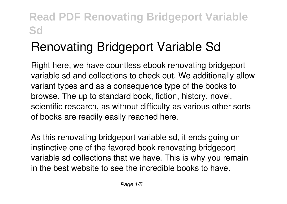# **Renovating Bridgeport Variable Sd**

Right here, we have countless ebook **renovating bridgeport variable sd** and collections to check out. We additionally allow variant types and as a consequence type of the books to browse. The up to standard book, fiction, history, novel, scientific research, as without difficulty as various other sorts of books are readily easily reached here.

As this renovating bridgeport variable sd, it ends going on instinctive one of the favored book renovating bridgeport variable sd collections that we have. This is why you remain in the best website to see the incredible books to have.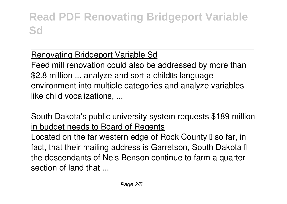### Renovating Bridgeport Variable Sd

Feed mill renovation could also be addressed by more than \$2.8 million ... analyze and sort a child<sup>to</sup>s language environment into multiple categories and analyze variables like child vocalizations, ...

South Dakota's public university system requests \$189 million in budget needs to Board of Regents Located on the far western edge of Rock County  $\mathbb I$  so far, in fact, that their mailing address is Garretson, South Dakota  $\mathbb I$ the descendants of Nels Benson continue to farm a quarter section of land that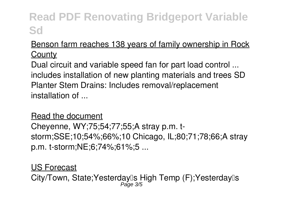### Benson farm reaches 138 years of family ownership in Rock **County**

Dual circuit and variable speed fan for part load control ... includes installation of new planting materials and trees SD Planter Stem Drains: Includes removal/replacement installation of ...

#### Read the document

Cheyenne, WY;75;54;77;55;A stray p.m. tstorm;SSE;10;54%;66%;10 Chicago, IL;80;71;78;66;A stray p.m. t-storm;NE;6;74%;61%;5 ...

### US Forecast

City/Town, State;Yesterday‼s High Temp (F);Yesterday‼s<br>Page 3/5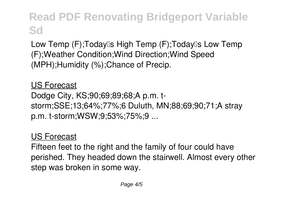Low Temp (F);Today<sub>[0</sub> High Temp (F);Today<sup>[1</sup>s Low Temp (F);Weather Condition;Wind Direction;Wind Speed (MPH);Humidity (%);Chance of Precip.

US Forecast Dodge City, KS;90;69;89;68;A p.m. tstorm;SSE;13;64%;77%;6 Duluth, MN;88;69;90;71;A stray p.m. t-storm;WSW;9;53%;75%;9 ...

### US Forecast

Fifteen feet to the right and the family of four could have perished. They headed down the stairwell. Almost every other step was broken in some way.